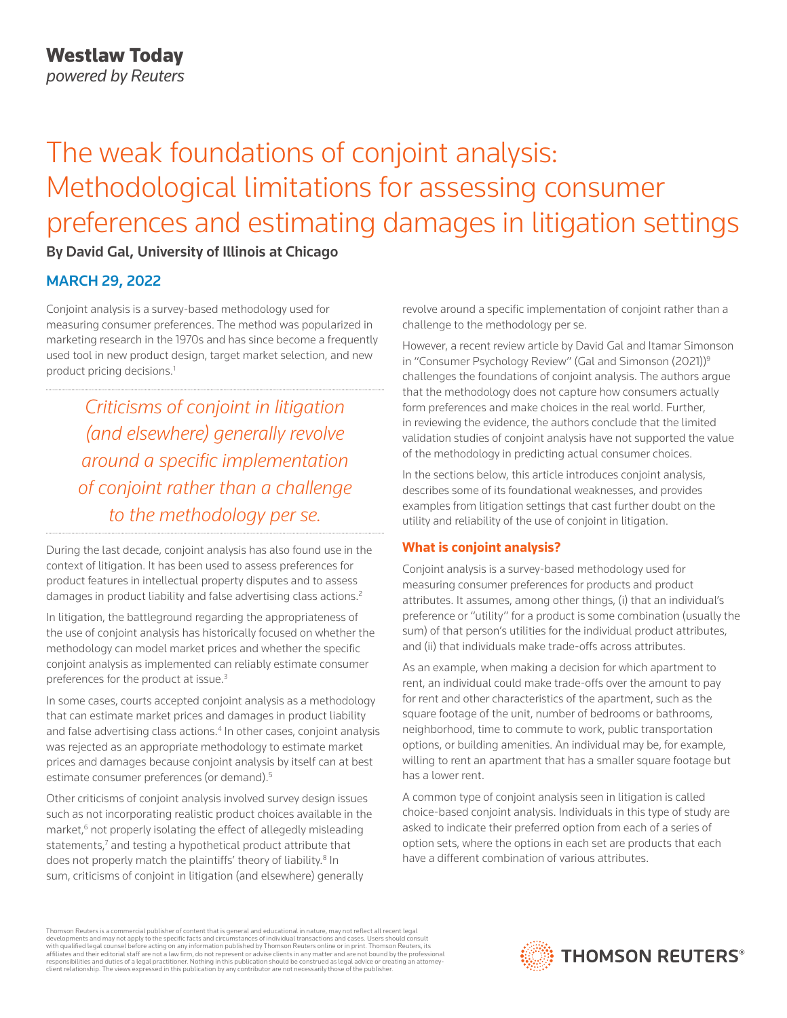# The weak foundations of conjoint analysis: Methodological limitations for assessing consumer preferences and estimating damages in litigation settings

By David Gal, University of Illinois at Chicago

# MARCH 29, 2022

Conjoint analysis is a survey-based methodology used for measuring consumer preferences. The method was popularized in marketing research in the 1970s and has since become a frequently used tool in new product design, target market selection, and new product pricing decisions.<sup>1</sup>

*Criticisms of conjoint in litigation (and elsewhere) generally revolve around a specific implementation of conjoint rather than a challenge to the methodology per se.*

During the last decade, conjoint analysis has also found use in the context of litigation. It has been used to assess preferences for product features in intellectual property disputes and to assess damages in product liability and false advertising class actions.<sup>2</sup>

In litigation, the battleground regarding the appropriateness of the use of conjoint analysis has historically focused on whether the methodology can model market prices and whether the specific conjoint analysis as implemented can reliably estimate consumer preferences for the product at issue.<sup>3</sup>

In some cases, courts accepted conjoint analysis as a methodology that can estimate market prices and damages in product liability and false advertising class actions.<sup>4</sup> In other cases, conjoint analysis was rejected as an appropriate methodology to estimate market prices and damages because conjoint analysis by itself can at best estimate consumer preferences (or demand).<sup>5</sup>

Other criticisms of conjoint analysis involved survey design issues such as not incorporating realistic product choices available in the market,<sup>6</sup> not properly isolating the effect of allegedly misleading statements,<sup>7</sup> and testing a hypothetical product attribute that does not properly match the plaintiffs' theory of liability.<sup>8</sup> In sum, criticisms of conjoint in litigation (and elsewhere) generally

revolve around a specific implementation of conjoint rather than a challenge to the methodology per se.

However, a recent review article by David Gal and Itamar Simonson in "Consumer Psychology Review" (Gal and Simonson (2021))<sup>9</sup> challenges the foundations of conjoint analysis. The authors argue that the methodology does not capture how consumers actually form preferences and make choices in the real world. Further, in reviewing the evidence, the authors conclude that the limited validation studies of conjoint analysis have not supported the value of the methodology in predicting actual consumer choices.

In the sections below, this article introduces conjoint analysis, describes some of its foundational weaknesses, and provides examples from litigation settings that cast further doubt on the utility and reliability of the use of conjoint in litigation.

# **What is conjoint analysis?**

Conjoint analysis is a survey-based methodology used for measuring consumer preferences for products and product attributes. It assumes, among other things, (i) that an individual's preference or "utility" for a product is some combination (usually the sum) of that person's utilities for the individual product attributes, and (ii) that individuals make trade-offs across attributes.

As an example, when making a decision for which apartment to rent, an individual could make trade-offs over the amount to pay for rent and other characteristics of the apartment, such as the square footage of the unit, number of bedrooms or bathrooms, neighborhood, time to commute to work, public transportation options, or building amenities. An individual may be, for example, willing to rent an apartment that has a smaller square footage but has a lower rent.

A common type of conjoint analysis seen in litigation is called choice-based conjoint analysis. Individuals in this type of study are asked to indicate their preferred option from each of a series of option sets, where the options in each set are products that each have a different combination of various attributes.

Thomson Reuters is a commercial publisher of content that is general and educational in nature, may not reflect all recent legal developments and may not apply to the specific facts and circumstances of individual transactions and cases. Users should consult<br>with qualified legal counsel before acting on any information published by Thomson Reuters o responsibilities and duties of a legal practitioner. Nothing in this publication should be construed as legal advice or creating an attorneyclient relationship. The views expressed in this publication by any contributor are not necessarily those of the publisher.

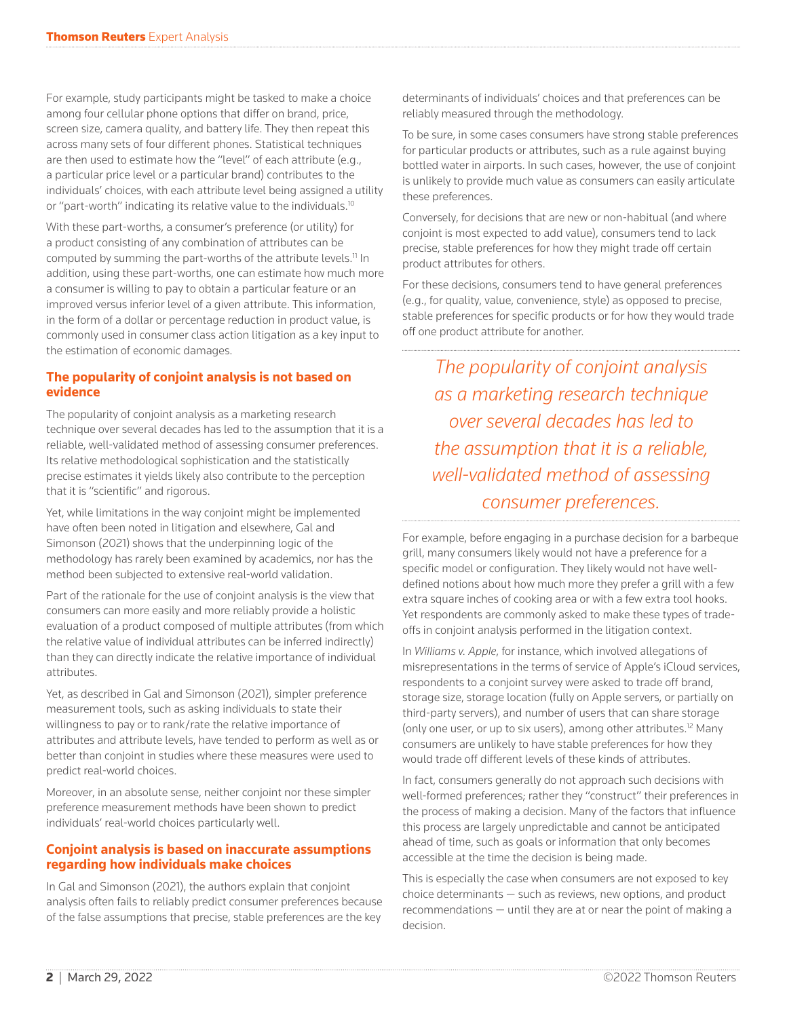For example, study participants might be tasked to make a choice among four cellular phone options that differ on brand, price, screen size, camera quality, and battery life. They then repeat this across many sets of four different phones. Statistical techniques are then used to estimate how the "level" of each attribute (e.g., a particular price level or a particular brand) contributes to the individuals' choices, with each attribute level being assigned a utility or "part-worth" indicating its relative value to the individuals.<sup>10</sup>

With these part-worths, a consumer's preference (or utility) for a product consisting of any combination of attributes can be computed by summing the part-worths of the attribute levels.<sup>11</sup> In addition, using these part-worths, one can estimate how much more a consumer is willing to pay to obtain a particular feature or an improved versus inferior level of a given attribute. This information, in the form of a dollar or percentage reduction in product value, is commonly used in consumer class action litigation as a key input to the estimation of economic damages.

## **The popularity of conjoint analysis is not based on evidence**

The popularity of conjoint analysis as a marketing research technique over several decades has led to the assumption that it is a reliable, well-validated method of assessing consumer preferences. Its relative methodological sophistication and the statistically precise estimates it yields likely also contribute to the perception that it is "scientific" and rigorous.

Yet, while limitations in the way conjoint might be implemented have often been noted in litigation and elsewhere, Gal and Simonson (2021) shows that the underpinning logic of the methodology has rarely been examined by academics, nor has the method been subjected to extensive real-world validation.

Part of the rationale for the use of conjoint analysis is the view that consumers can more easily and more reliably provide a holistic evaluation of a product composed of multiple attributes (from which the relative value of individual attributes can be inferred indirectly) than they can directly indicate the relative importance of individual attributes.

Yet, as described in Gal and Simonson (2021), simpler preference measurement tools, such as asking individuals to state their willingness to pay or to rank/rate the relative importance of attributes and attribute levels, have tended to perform as well as or better than conjoint in studies where these measures were used to predict real-world choices.

Moreover, in an absolute sense, neither conjoint nor these simpler preference measurement methods have been shown to predict individuals' real-world choices particularly well.

#### **Conjoint analysis is based on inaccurate assumptions regarding how individuals make choices**

In Gal and Simonson (2021), the authors explain that conjoint analysis often fails to reliably predict consumer preferences because of the false assumptions that precise, stable preferences are the key

determinants of individuals' choices and that preferences can be reliably measured through the methodology.

To be sure, in some cases consumers have strong stable preferences for particular products or attributes, such as a rule against buying bottled water in airports. In such cases, however, the use of conjoint is unlikely to provide much value as consumers can easily articulate these preferences.

Conversely, for decisions that are new or non-habitual (and where conjoint is most expected to add value), consumers tend to lack precise, stable preferences for how they might trade off certain product attributes for others.

For these decisions, consumers tend to have general preferences (e.g., for quality, value, convenience, style) as opposed to precise, stable preferences for specific products or for how they would trade off one product attribute for another.

*The popularity of conjoint analysis as a marketing research technique over several decades has led to the assumption that it is a reliable, well-validated method of assessing consumer preferences.*

For example, before engaging in a purchase decision for a barbeque grill, many consumers likely would not have a preference for a specific model or configuration. They likely would not have welldefined notions about how much more they prefer a grill with a few extra square inches of cooking area or with a few extra tool hooks. Yet respondents are commonly asked to make these types of tradeoffs in conjoint analysis performed in the litigation context.

In *Williams v. Apple*, for instance, which involved allegations of misrepresentations in the terms of service of Apple's iCloud services, respondents to a conjoint survey were asked to trade off brand, storage size, storage location (fully on Apple servers, or partially on third-party servers), and number of users that can share storage (only one user, or up to six users), among other attributes.12 Many consumers are unlikely to have stable preferences for how they would trade off different levels of these kinds of attributes.

In fact, consumers generally do not approach such decisions with well-formed preferences; rather they "construct" their preferences in the process of making a decision. Many of the factors that influence this process are largely unpredictable and cannot be anticipated ahead of time, such as goals or information that only becomes accessible at the time the decision is being made.

This is especially the case when consumers are not exposed to key choice determinants — such as reviews, new options, and product recommendations — until they are at or near the point of making a decision.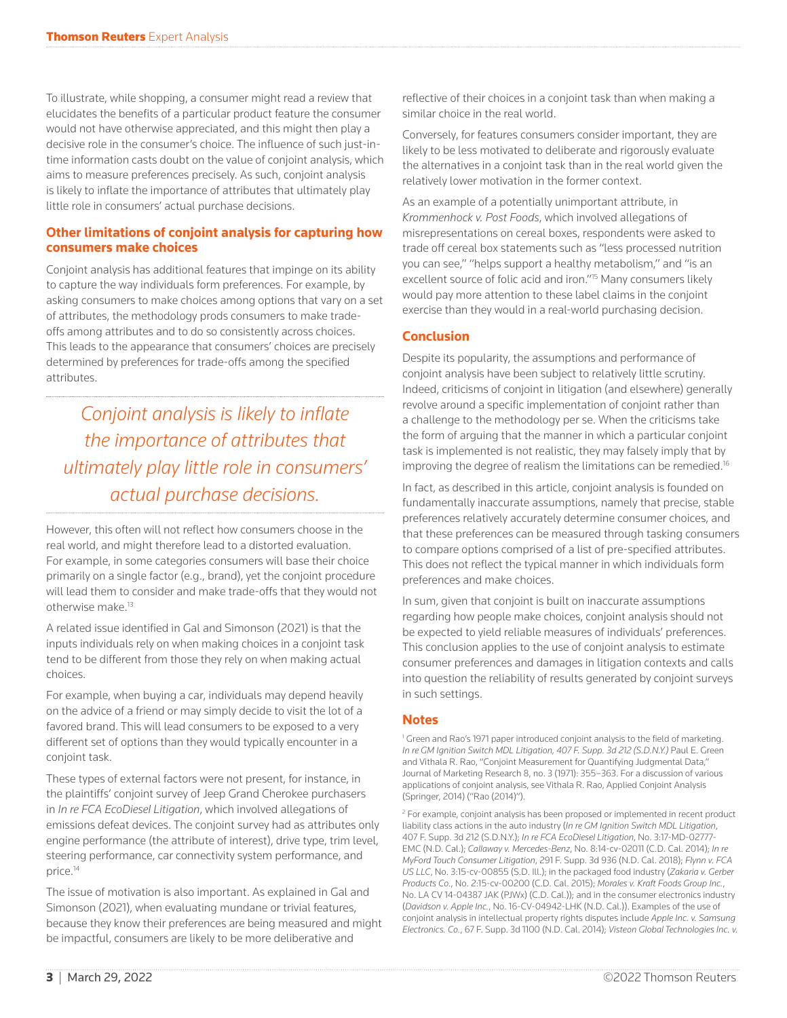To illustrate, while shopping, a consumer might read a review that elucidates the benefits of a particular product feature the consumer would not have otherwise appreciated, and this might then play a decisive role in the consumer's choice. The influence of such just-intime information casts doubt on the value of conjoint analysis, which aims to measure preferences precisely. As such, conjoint analysis is likely to inflate the importance of attributes that ultimately play little role in consumers' actual purchase decisions.

## **Other limitations of conjoint analysis for capturing how consumers make choices**

Conjoint analysis has additional features that impinge on its ability to capture the way individuals form preferences. For example, by asking consumers to make choices among options that vary on a set of attributes, the methodology prods consumers to make tradeoffs among attributes and to do so consistently across choices. This leads to the appearance that consumers' choices are precisely determined by preferences for trade-offs among the specified attributes.

*Conjoint analysis is likely to inflate the importance of attributes that ultimately play little role in consumers' actual purchase decisions.*

However, this often will not reflect how consumers choose in the real world, and might therefore lead to a distorted evaluation. For example, in some categories consumers will base their choice primarily on a single factor (e.g., brand), yet the conjoint procedure will lead them to consider and make trade-offs that they would not otherwise make.<sup>13</sup>

A related issue identified in Gal and Simonson (2021) is that the inputs individuals rely on when making choices in a conjoint task tend to be different from those they rely on when making actual choices.

For example, when buying a car, individuals may depend heavily on the advice of a friend or may simply decide to visit the lot of a favored brand. This will lead consumers to be exposed to a very different set of options than they would typically encounter in a conjoint task.

These types of external factors were not present, for instance, in the plaintiffs' conjoint survey of Jeep Grand Cherokee purchasers in *In re FCA EcoDiesel Litigation*, which involved allegations of emissions defeat devices. The conjoint survey had as attributes only engine performance (the attribute of interest), drive type, trim level, steering performance, car connectivity system performance, and price.<sup>14</sup>

The issue of motivation is also important. As explained in Gal and Simonson (2021), when evaluating mundane or trivial features, because they know their preferences are being measured and might be impactful, consumers are likely to be more deliberative and

reflective of their choices in a conjoint task than when making a similar choice in the real world.

Conversely, for features consumers consider important, they are likely to be less motivated to deliberate and rigorously evaluate the alternatives in a conjoint task than in the real world given the relatively lower motivation in the former context.

As an example of a potentially unimportant attribute, in *Krommenhock v. Post Foods*, which involved allegations of misrepresentations on cereal boxes, respondents were asked to trade off cereal box statements such as "less processed nutrition you can see," "helps support a healthy metabolism," and "is an excellent source of folic acid and iron."<sup>15</sup> Many consumers likely would pay more attention to these label claims in the conjoint exercise than they would in a real-world purchasing decision.

## **Conclusion**

Despite its popularity, the assumptions and performance of conjoint analysis have been subject to relatively little scrutiny. Indeed, criticisms of conjoint in litigation (and elsewhere) generally revolve around a specific implementation of conjoint rather than a challenge to the methodology per se. When the criticisms take the form of arguing that the manner in which a particular conjoint task is implemented is not realistic, they may falsely imply that by improving the degree of realism the limitations can be remedied.<sup>16</sup>

In fact, as described in this article, conjoint analysis is founded on fundamentally inaccurate assumptions, namely that precise, stable preferences relatively accurately determine consumer choices, and that these preferences can be measured through tasking consumers to compare options comprised of a list of pre-specified attributes. This does not reflect the typical manner in which individuals form preferences and make choices.

In sum, given that conjoint is built on inaccurate assumptions regarding how people make choices, conjoint analysis should not be expected to yield reliable measures of individuals' preferences. This conclusion applies to the use of conjoint analysis to estimate consumer preferences and damages in litigation contexts and calls into question the reliability of results generated by conjoint surveys in such settings.

#### **Notes**

<sup>1</sup> Green and Rao's 1971 paper introduced conjoint analysis to the field of marketing. *In re GM Ignition Switch MDL Litigation, 407 F. Supp. 3d 212 (S.D.N.Y.)* Paul E. Green and Vithala R. Rao, "Conjoint Measurement for Quantifying Judgmental Data," Journal of Marketing Research 8, no. 3 (1971): 355–363. For a discussion of various applications of conjoint analysis, see Vithala R. Rao, Applied Conjoint Analysis (Springer, 2014) ("Rao (2014)").

<sup>2</sup> For example, conjoint analysis has been proposed or implemented in recent product liability class actions in the auto industry (*In re GM Ignition Switch MDL Litigation*, 407 F. Supp. 3d 212 (S.D.N.Y.); *In re FCA EcoDiesel Litigation*, No. 3:17-MD-02777- EMC (N.D. Cal.); *Callaway v. Mercedes-Benz*, No. 8:14-cv-02011 (C.D. Cal. 2014); *In re MyFord Touch Consumer Litigation*, 291 F. Supp. 3d 936 (N.D. Cal. 2018); *Flynn v. FCA US LLC*, No. 3:15-cv-00855 (S.D. Ill.); in the packaged food industry (*Zakaria v. Gerber Products Co.*, No. 2:15-cv-00200 (C.D. Cal. 2015); *Morales v. Kraft Foods Group Inc.*, No. LA CV 14-04387 JAK (PJWx) (C.D. Cal.)); and in the consumer electronics industry (*Davidson v. Apple Inc.*, No. 16-CV-04942-LHK (N.D. Cal.)). Examples of the use of conjoint analysis in intellectual property rights disputes include *Apple Inc. v. Samsung Electronics. Co.*, 67 F. Supp. 3d 1100 (N.D. Cal. 2014); *Visteon Global Technologies Inc. v.*